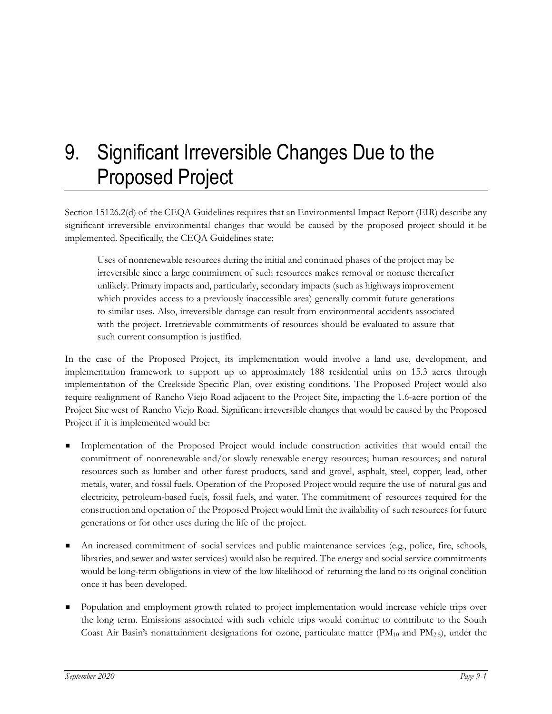## 9. Significant Irreversible Changes Due to the Proposed Project

Section 15126.2(d) of the CEQA Guidelines requires that an Environmental Impact Report (EIR) describe any significant irreversible environmental changes that would be caused by the proposed project should it be implemented. Specifically, the CEQA Guidelines state:

Uses of nonrenewable resources during the initial and continued phases of the project may be irreversible since a large commitment of such resources makes removal or nonuse thereafter unlikely. Primary impacts and, particularly, secondary impacts (such as highways improvement which provides access to a previously inaccessible area) generally commit future generations to similar uses. Also, irreversible damage can result from environmental accidents associated with the project. Irretrievable commitments of resources should be evaluated to assure that such current consumption is justified.

In the case of the Proposed Project, its implementation would involve a land use, development, and implementation framework to support up to approximately 188 residential units on 15.3 acres through implementation of the Creekside Specific Plan, over existing conditions. The Proposed Project would also require realignment of Rancho Viejo Road adjacent to the Project Site, impacting the 1.6-acre portion of the Project Site west of Rancho Viejo Road. Significant irreversible changes that would be caused by the Proposed Project if it is implemented would be:

- Implementation of the Proposed Project would include construction activities that would entail the commitment of nonrenewable and/or slowly renewable energy resources; human resources; and natural resources such as lumber and other forest products, sand and gravel, asphalt, steel, copper, lead, other metals, water, and fossil fuels. Operation of the Proposed Project would require the use of natural gas and electricity, petroleum-based fuels, fossil fuels, and water. The commitment of resources required for the construction and operation of the Proposed Project would limit the availability of such resources for future generations or for other uses during the life of the project.
- An increased commitment of social services and public maintenance services (e.g., police, fire, schools, libraries, and sewer and water services) would also be required. The energy and social service commitments would be long-term obligations in view of the low likelihood of returning the land to its original condition once it has been developed.
- Population and employment growth related to project implementation would increase vehicle trips over the long term. Emissions associated with such vehicle trips would continue to contribute to the South Coast Air Basin's nonattainment designations for ozone, particulate matter ( $PM_{10}$  and  $PM_{2.5}$ ), under the